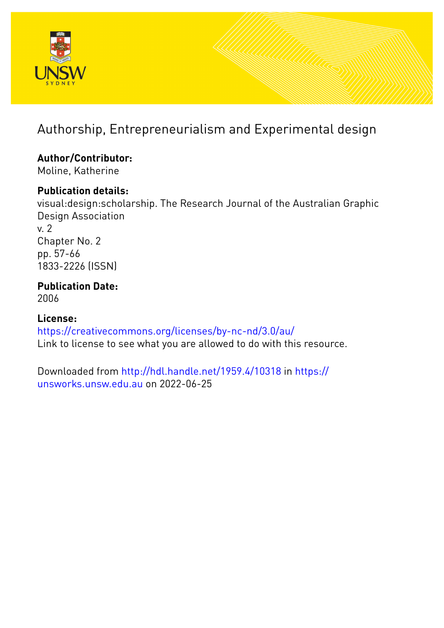

## Authorship, Entrepreneurialism and Experimental design

# **Author/Contributor:**

Moline, Katherine

## **Publication details:**

visual:design:scholarship. The Research Journal of the Australian Graphic Design Association v. 2 Chapter No. 2 pp. 57-66 1833-2226 (ISSN)

### **Publication Date:** 2006

## **License:**

<https://creativecommons.org/licenses/by-nc-nd/3.0/au/> Link to license to see what you are allowed to do with this resource.

Downloaded from <http://hdl.handle.net/1959.4/10318> in [https://](https://unsworks.unsw.edu.au) [unsworks.unsw.edu.au](https://unsworks.unsw.edu.au) on 2022-06-25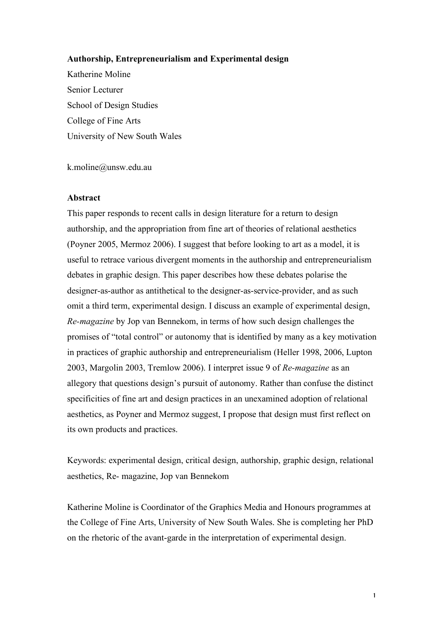#### **Authorship, Entrepreneurialism and Experimental design**

Katherine Moline Senior Lecturer School of Design Studies College of Fine Arts University of New South Wales

k.moline@unsw.edu.au

#### **Abstract**

This paper responds to recent calls in design literature for a return to design authorship, and the appropriation from fine art of theories of relational aesthetics (Poyner 2005, Mermoz 2006). I suggest that before looking to art as a model, it is useful to retrace various divergent moments in the authorship and entrepreneurialism debates in graphic design. This paper describes how these debates polarise the designer-as-author as antithetical to the designer-as-service-provider, and as such omit a third term, experimental design. I discuss an example of experimental design, *Re-magazine* by Jop van Bennekom, in terms of how such design challenges the promises of "total control" or autonomy that is identified by many as a key motivation in practices of graphic authorship and entrepreneurialism (Heller 1998, 2006, Lupton 2003, Margolin 2003, Tremlow 2006). I interpret issue 9 of *Re-magazine* as an allegory that questions design's pursuit of autonomy. Rather than confuse the distinct specificities of fine art and design practices in an unexamined adoption of relational aesthetics, as Poyner and Mermoz suggest, I propose that design must first reflect on its own products and practices.

Keywords: experimental design, critical design, authorship, graphic design, relational aesthetics, Re- magazine, Jop van Bennekom

Katherine Moline is Coordinator of the Graphics Media and Honours programmes at the College of Fine Arts, University of New South Wales. She is completing her PhD on the rhetoric of the avant-garde in the interpretation of experimental design.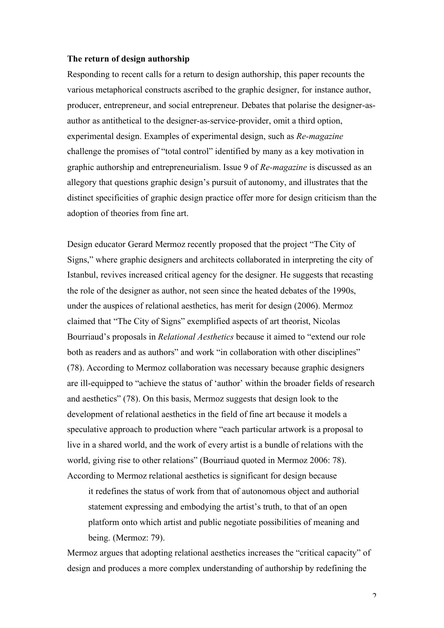#### **The return of design authorship**

Responding to recent calls for a return to design authorship, this paper recounts the various metaphorical constructs ascribed to the graphic designer, for instance author, producer, entrepreneur, and social entrepreneur. Debates that polarise the designer-asauthor as antithetical to the designer-as-service-provider, omit a third option, experimental design. Examples of experimental design, such as *Re-magazine* challenge the promises of "total control" identified by many as a key motivation in graphic authorship and entrepreneurialism. Issue 9 of *Re-magazine* is discussed as an allegory that questions graphic design's pursuit of autonomy, and illustrates that the distinct specificities of graphic design practice offer more for design criticism than the adoption of theories from fine art.

Design educator Gerard Mermoz recently proposed that the project "The City of Signs," where graphic designers and architects collaborated in interpreting the city of Istanbul, revives increased critical agency for the designer. He suggests that recasting the role of the designer as author, not seen since the heated debates of the 1990s, under the auspices of relational aesthetics, has merit for design (2006). Mermoz claimed that "The City of Signs" exemplified aspects of art theorist, Nicolas Bourriaud's proposals in *Relational Aesthetics* because it aimed to "extend our role both as readers and as authors" and work "in collaboration with other disciplines" (78). According to Mermoz collaboration was necessary because graphic designers are ill-equipped to "achieve the status of 'author' within the broader fields of research and aesthetics" (78). On this basis, Mermoz suggests that design look to the development of relational aesthetics in the field of fine art because it models a speculative approach to production where "each particular artwork is a proposal to live in a shared world, and the work of every artist is a bundle of relations with the world, giving rise to other relations" (Bourriaud quoted in Mermoz 2006: 78). According to Mermoz relational aesthetics is significant for design because

it redefines the status of work from that of autonomous object and authorial statement expressing and embodying the artist's truth, to that of an open platform onto which artist and public negotiate possibilities of meaning and being. (Mermoz: 79).

Mermoz argues that adopting relational aesthetics increases the "critical capacity" of design and produces a more complex understanding of authorship by redefining the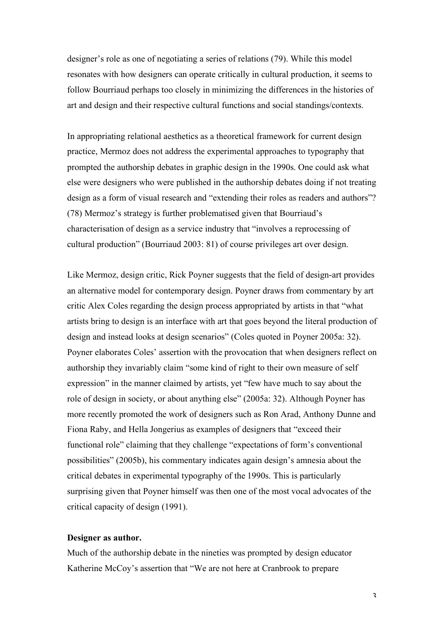designer's role as one of negotiating a series of relations (79). While this model resonates with how designers can operate critically in cultural production, it seems to follow Bourriaud perhaps too closely in minimizing the differences in the histories of art and design and their respective cultural functions and social standings/contexts.

In appropriating relational aesthetics as a theoretical framework for current design practice, Mermoz does not address the experimental approaches to typography that prompted the authorship debates in graphic design in the 1990s. One could ask what else were designers who were published in the authorship debates doing if not treating design as a form of visual research and "extending their roles as readers and authors"? (78) Mermoz's strategy is further problematised given that Bourriaud's characterisation of design as a service industry that "involves a reprocessing of cultural production" (Bourriaud 2003: 81) of course privileges art over design.

Like Mermoz, design critic, Rick Poyner suggests that the field of design-art provides an alternative model for contemporary design. Poyner draws from commentary by art critic Alex Coles regarding the design process appropriated by artists in that "what artists bring to design is an interface with art that goes beyond the literal production of design and instead looks at design scenarios" (Coles quoted in Poyner 2005a: 32). Poyner elaborates Coles' assertion with the provocation that when designers reflect on authorship they invariably claim "some kind of right to their own measure of self expression" in the manner claimed by artists, yet "few have much to say about the role of design in society, or about anything else" (2005a: 32). Although Poyner has more recently promoted the work of designers such as Ron Arad, Anthony Dunne and Fiona Raby, and Hella Jongerius as examples of designers that "exceed their functional role" claiming that they challenge "expectations of form's conventional possibilities" (2005b), his commentary indicates again design's amnesia about the critical debates in experimental typography of the 1990s. This is particularly surprising given that Poyner himself was then one of the most vocal advocates of the critical capacity of design (1991).

#### **Designer as author.**

Much of the authorship debate in the nineties was prompted by design educator Katherine McCoy's assertion that "We are not here at Cranbrook to prepare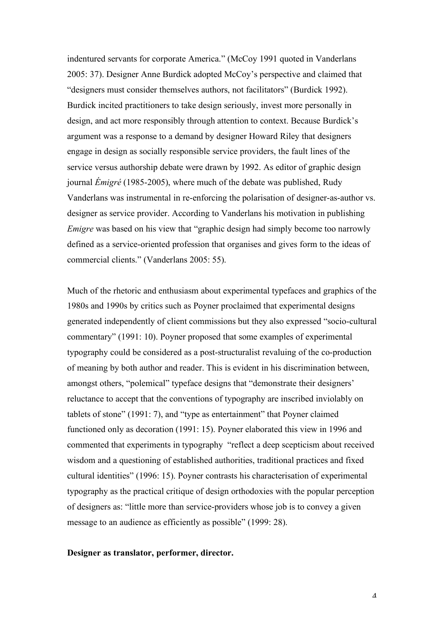indentured servants for corporate America." (McCoy 1991 quoted in Vanderlans 2005: 37). Designer Anne Burdick adopted McCoy's perspective and claimed that "designers must consider themselves authors, not facilitators" (Burdick 1992). Burdick incited practitioners to take design seriously, invest more personally in design, and act more responsibly through attention to context. Because Burdick's argument was a response to a demand by designer Howard Riley that designers engage in design as socially responsible service providers, the fault lines of the service versus authorship debate were drawn by 1992. As editor of graphic design journal *Émigré* (1985-2005), where much of the debate was published, Rudy Vanderlans was instrumental in re-enforcing the polarisation of designer-as-author vs. designer as service provider. According to Vanderlans his motivation in publishing *Emigre* was based on his view that "graphic design had simply become too narrowly defined as a service-oriented profession that organises and gives form to the ideas of commercial clients." (Vanderlans 2005: 55).

Much of the rhetoric and enthusiasm about experimental typefaces and graphics of the 1980s and 1990s by critics such as Poyner proclaimed that experimental designs generated independently of client commissions but they also expressed "socio-cultural commentary" (1991: 10). Poyner proposed that some examples of experimental typography could be considered as a post-structuralist revaluing of the co-production of meaning by both author and reader. This is evident in his discrimination between, amongst others, "polemical" typeface designs that "demonstrate their designers' reluctance to accept that the conventions of typography are inscribed inviolably on tablets of stone" (1991: 7), and "type as entertainment" that Poyner claimed functioned only as decoration (1991: 15). Poyner elaborated this view in 1996 and commented that experiments in typography "reflect a deep scepticism about received wisdom and a questioning of established authorities, traditional practices and fixed cultural identities" (1996: 15). Poyner contrasts his characterisation of experimental typography as the practical critique of design orthodoxies with the popular perception of designers as: "little more than service-providers whose job is to convey a given message to an audience as efficiently as possible" (1999: 28).

#### **Designer as translator, performer, director.**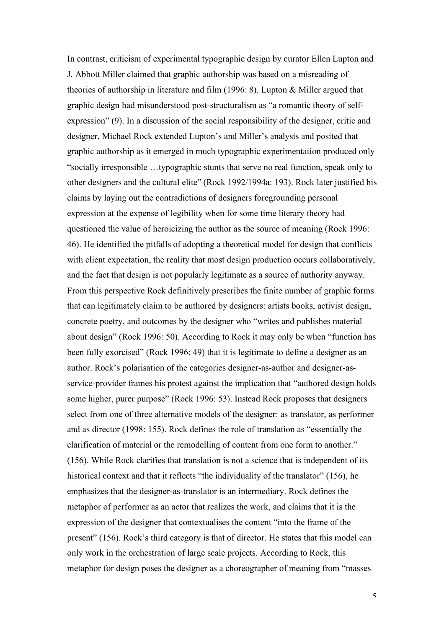In contrast, criticism of experimental typographic design by curator Ellen Lupton and J. Abbott Miller claimed that graphic authorship was based on a misreading of theories of authorship in literature and film (1996: 8). Lupton & Miller argued that graphic design had misunderstood post-structuralism as "a romantic theory of selfexpression" (9). In a discussion of the social responsibility of the designer, critic and designer, Michael Rock extended Lupton's and Miller's analysis and posited that graphic authorship as it emerged in much typographic experimentation produced only "socially irresponsible …typographic stunts that serve no real function, speak only to other designers and the cultural elite" (Rock 1992/1994a: 193). Rock later justified his claims by laying out the contradictions of designers foregrounding personal expression at the expense of legibility when for some time literary theory had questioned the value of heroicizing the author as the source of meaning (Rock 1996: 46). He identified the pitfalls of adopting a theoretical model for design that conflicts with client expectation, the reality that most design production occurs collaboratively, and the fact that design is not popularly legitimate as a source of authority anyway. From this perspective Rock definitively prescribes the finite number of graphic forms that can legitimately claim to be authored by designers: artists books, activist design, concrete poetry, and outcomes by the designer who "writes and publishes material about design" (Rock 1996: 50). According to Rock it may only be when "function has been fully exorcised" (Rock 1996: 49) that it is legitimate to define a designer as an author. Rock's polarisation of the categories designer-as-author and designer-asservice-provider frames his protest against the implication that "authored design holds some higher, purer purpose" (Rock 1996: 53). Instead Rock proposes that designers select from one of three alternative models of the designer: as translator, as performer and as director (1998: 155). Rock defines the role of translation as "essentially the clarification of material or the remodelling of content from one form to another." (156). While Rock clarifies that translation is not a science that is independent of its historical context and that it reflects "the individuality of the translator" (156), he emphasizes that the designer-as-translator is an intermediary. Rock defines the metaphor of performer as an actor that realizes the work, and claims that it is the expression of the designer that contextualises the content "into the frame of the present" (156). Rock's third category is that of director. He states that this model can only work in the orchestration of large scale projects. According to Rock, this metaphor for design poses the designer as a choreographer of meaning from "masses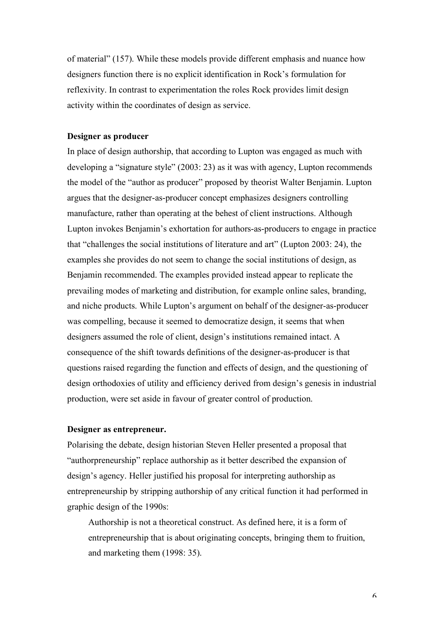of material" (157). While these models provide different emphasis and nuance how designers function there is no explicit identification in Rock's formulation for reflexivity. In contrast to experimentation the roles Rock provides limit design activity within the coordinates of design as service.

#### **Designer as producer**

In place of design authorship, that according to Lupton was engaged as much with developing a "signature style" (2003: 23) as it was with agency, Lupton recommends the model of the "author as producer" proposed by theorist Walter Benjamin. Lupton argues that the designer-as-producer concept emphasizes designers controlling manufacture, rather than operating at the behest of client instructions. Although Lupton invokes Benjamin's exhortation for authors-as-producers to engage in practice that "challenges the social institutions of literature and art" (Lupton 2003: 24), the examples she provides do not seem to change the social institutions of design, as Benjamin recommended. The examples provided instead appear to replicate the prevailing modes of marketing and distribution, for example online sales, branding, and niche products. While Lupton's argument on behalf of the designer-as-producer was compelling, because it seemed to democratize design, it seems that when designers assumed the role of client, design's institutions remained intact. A consequence of the shift towards definitions of the designer-as-producer is that questions raised regarding the function and effects of design, and the questioning of design orthodoxies of utility and efficiency derived from design's genesis in industrial production, were set aside in favour of greater control of production.

#### **Designer as entrepreneur.**

Polarising the debate, design historian Steven Heller presented a proposal that "authorpreneurship" replace authorship as it better described the expansion of design's agency. Heller justified his proposal for interpreting authorship as entrepreneurship by stripping authorship of any critical function it had performed in graphic design of the 1990s:

Authorship is not a theoretical construct. As defined here, it is a form of entrepreneurship that is about originating concepts, bringing them to fruition, and marketing them (1998: 35).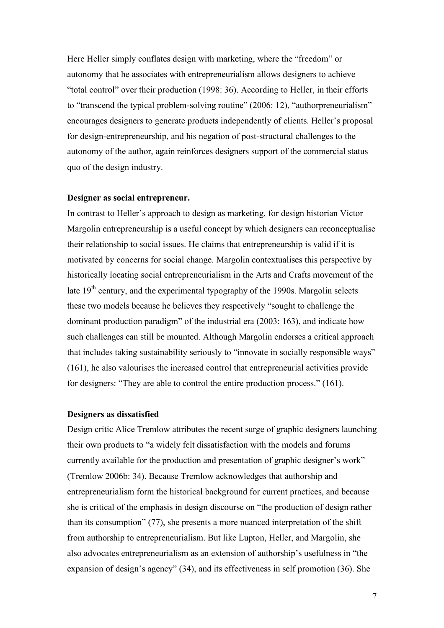Here Heller simply conflates design with marketing, where the "freedom" or autonomy that he associates with entrepreneurialism allows designers to achieve "total control" over their production (1998: 36). According to Heller, in their efforts to "transcend the typical problem-solving routine" (2006: 12), "authorpreneurialism" encourages designers to generate products independently of clients. Heller's proposal for design-entrepreneurship, and his negation of post-structural challenges to the autonomy of the author, again reinforces designers support of the commercial status quo of the design industry.

#### **Designer as social entrepreneur.**

In contrast to Heller's approach to design as marketing, for design historian Victor Margolin entrepreneurship is a useful concept by which designers can reconceptualise their relationship to social issues. He claims that entrepreneurship is valid if it is motivated by concerns for social change. Margolin contextualises this perspective by historically locating social entrepreneurialism in the Arts and Crafts movement of the late  $19<sup>th</sup>$  century, and the experimental typography of the 1990s. Margolin selects these two models because he believes they respectively "sought to challenge the dominant production paradigm" of the industrial era (2003: 163), and indicate how such challenges can still be mounted. Although Margolin endorses a critical approach that includes taking sustainability seriously to "innovate in socially responsible ways" (161), he also valourises the increased control that entrepreneurial activities provide for designers: "They are able to control the entire production process." (161).

#### **Designers as dissatisfied**

Design critic Alice Tremlow attributes the recent surge of graphic designers launching their own products to "a widely felt dissatisfaction with the models and forums currently available for the production and presentation of graphic designer's work" (Tremlow 2006b: 34). Because Tremlow acknowledges that authorship and entrepreneurialism form the historical background for current practices, and because she is critical of the emphasis in design discourse on "the production of design rather than its consumption" (77), she presents a more nuanced interpretation of the shift from authorship to entrepreneurialism. But like Lupton, Heller, and Margolin, she also advocates entrepreneurialism as an extension of authorship's usefulness in "the expansion of design's agency" (34), and its effectiveness in self promotion (36). She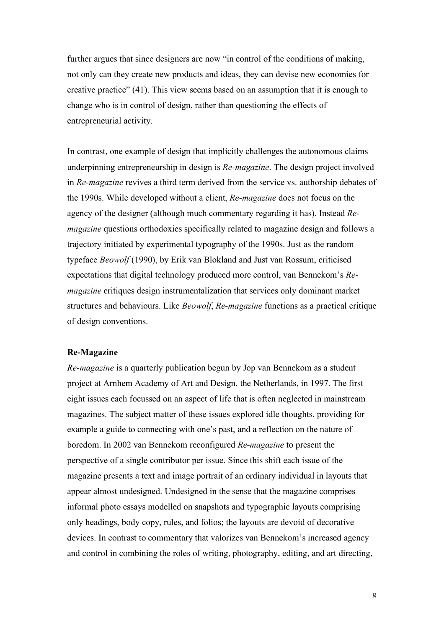further argues that since designers are now "in control of the conditions of making, not only can they create new products and ideas, they can devise new economies for creative practice" (41). This view seems based on an assumption that it is enough to change who is in control of design, rather than questioning the effects of entrepreneurial activity.

In contrast, one example of design that implicitly challenges the autonomous claims underpinning entrepreneurship in design is *Re-magazine*. The design project involved in *Re-magazine* revives a third term derived from the service vs. authorship debates of the 1990s. While developed without a client, *Re-magazine* does not focus on the agency of the designer (although much commentary regarding it has). Instead *Remagazine* questions orthodoxies specifically related to magazine design and follows a trajectory initiated by experimental typography of the 1990s. Just as the random typeface *Beowolf* (1990), by Erik van Blokland and Just van Rossum, criticised expectations that digital technology produced more control, van Bennekom's *Remagazine* critiques design instrumentalization that services only dominant market structures and behaviours. Like *Beowolf*, *Re-magazine* functions as a practical critique of design conventions.

#### **Re-Magazine**

*Re-magazine* is a quarterly publication begun by Jop van Bennekom as a student project at Arnhem Academy of Art and Design, the Netherlands, in 1997. The first eight issues each focussed on an aspect of life that is often neglected in mainstream magazines. The subject matter of these issues explored idle thoughts, providing for example a guide to connecting with one's past, and a reflection on the nature of boredom. In 2002 van Bennekom reconfigured *Re-magazine* to present the perspective of a single contributor per issue. Since this shift each issue of the magazine presents a text and image portrait of an ordinary individual in layouts that appear almost undesigned. Undesigned in the sense that the magazine comprises informal photo essays modelled on snapshots and typographic layouts comprising only headings, body copy, rules, and folios; the layouts are devoid of decorative devices. In contrast to commentary that valorizes van Bennekom's increased agency and control in combining the roles of writing, photography, editing, and art directing,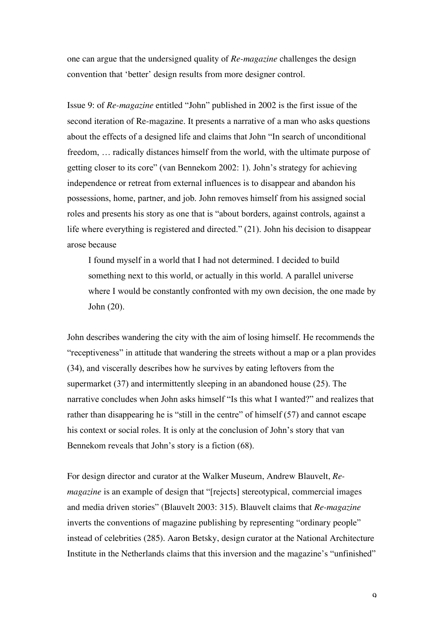one can argue that the undersigned quality of *Re-magazine* challenges the design convention that 'better' design results from more designer control.

Issue 9: of *Re-magazine* entitled "John" published in 2002 is the first issue of the second iteration of Re-magazine. It presents a narrative of a man who asks questions about the effects of a designed life and claims that John "In search of unconditional freedom, … radically distances himself from the world, with the ultimate purpose of getting closer to its core" (van Bennekom 2002: 1). John's strategy for achieving independence or retreat from external influences is to disappear and abandon his possessions, home, partner, and job. John removes himself from his assigned social roles and presents his story as one that is "about borders, against controls, against a life where everything is registered and directed." (21). John his decision to disappear arose because

I found myself in a world that I had not determined. I decided to build something next to this world, or actually in this world. A parallel universe where I would be constantly confronted with my own decision, the one made by John (20).

John describes wandering the city with the aim of losing himself. He recommends the "receptiveness" in attitude that wandering the streets without a map or a plan provides (34), and viscerally describes how he survives by eating leftovers from the supermarket (37) and intermittently sleeping in an abandoned house (25). The narrative concludes when John asks himself "Is this what I wanted?" and realizes that rather than disappearing he is "still in the centre" of himself (57) and cannot escape his context or social roles. It is only at the conclusion of John's story that van Bennekom reveals that John's story is a fiction (68).

For design director and curator at the Walker Museum, Andrew Blauvelt, *Remagazine* is an example of design that "[rejects] stereotypical, commercial images and media driven stories" (Blauvelt 2003: 315). Blauvelt claims that *Re-magazine* inverts the conventions of magazine publishing by representing "ordinary people" instead of celebrities (285). Aaron Betsky, design curator at the National Architecture Institute in the Netherlands claims that this inversion and the magazine's "unfinished"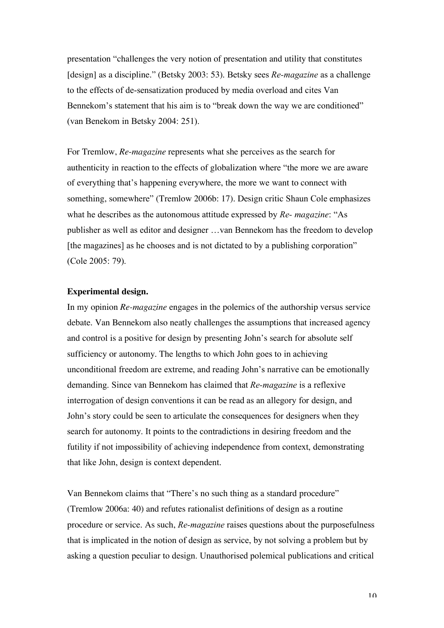presentation "challenges the very notion of presentation and utility that constitutes [design] as a discipline." (Betsky 2003: 53). Betsky sees *Re-magazine* as a challenge to the effects of de-sensatization produced by media overload and cites Van Bennekom's statement that his aim is to "break down the way we are conditioned" (van Benekom in Betsky 2004: 251).

For Tremlow, *Re*-*magazine* represents what she perceives as the search for authenticity in reaction to the effects of globalization where "the more we are aware of everything that's happening everywhere, the more we want to connect with something, somewhere" (Tremlow 2006b: 17). Design critic Shaun Cole emphasizes what he describes as the autonomous attitude expressed by *Re- magazine*: "As publisher as well as editor and designer …van Bennekom has the freedom to develop [the magazines] as he chooses and is not dictated to by a publishing corporation" (Cole 2005: 79).

#### **Experimental design.**

In my opinion *Re-magazine* engages in the polemics of the authorship versus service debate. Van Bennekom also neatly challenges the assumptions that increased agency and control is a positive for design by presenting John's search for absolute self sufficiency or autonomy. The lengths to which John goes to in achieving unconditional freedom are extreme, and reading John's narrative can be emotionally demanding. Since van Bennekom has claimed that *Re-magazine* is a reflexive interrogation of design conventions it can be read as an allegory for design, and John's story could be seen to articulate the consequences for designers when they search for autonomy. It points to the contradictions in desiring freedom and the futility if not impossibility of achieving independence from context, demonstrating that like John, design is context dependent.

Van Bennekom claims that "There's no such thing as a standard procedure" (Tremlow 2006a: 40) and refutes rationalist definitions of design as a routine procedure or service. As such, *Re-magazine* raises questions about the purposefulness that is implicated in the notion of design as service, by not solving a problem but by asking a question peculiar to design. Unauthorised polemical publications and critical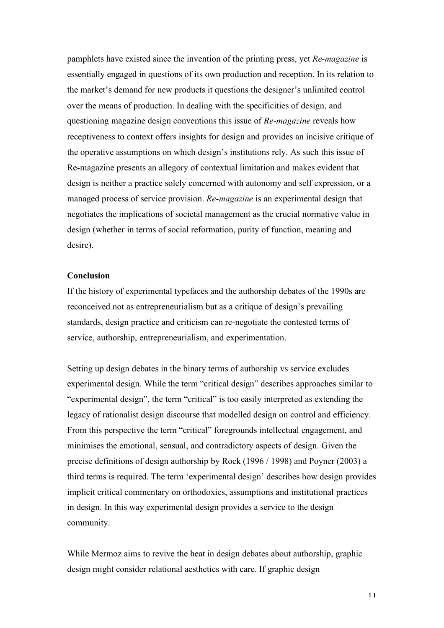pamphlets have existed since the invention of the printing press, yet *Re-magazine* is essentially engaged in questions of its own production and reception. In its relation to the market's demand for new products it questions the designer's unlimited control over the means of production. In dealing with the specificities of design, and questioning magazine design conventions this issue of *Re-magazine* reveals how receptiveness to context offers insights for design and provides an incisive critique of the operative assumptions on which design's institutions rely. As such this issue of Re-magazine presents an allegory of contextual limitation and makes evident that design is neither a practice solely concerned with autonomy and self expression, or a managed process of service provision. *Re-magazine* is an experimental design that negotiates the implications of societal management as the crucial normative value in design (whether in terms of social reformation, purity of function, meaning and desire).

#### **Conclusion**

If the history of experimental typefaces and the authorship debates of the 1990s are reconceived not as entrepreneurialism but as a critique of design's prevailing standards, design practice and criticism can re-negotiate the contested terms of service, authorship, entrepreneurialism, and experimentation.

Setting up design debates in the binary terms of authorship vs service excludes experimental design. While the term "critical design" describes approaches similar to "experimental design", the term "critical" is too easily interpreted as extending the legacy of rationalist design discourse that modelled design on control and efficiency. From this perspective the term "critical" foregrounds intellectual engagement, and minimises the emotional, sensual, and contradictory aspects of design. Given the precise definitions of design authorship by Rock (1996 / 1998) and Poyner (2003) a third terms is required. The term 'experimental design' describes how design provides implicit critical commentary on orthodoxies, assumptions and institutional practices in design. In this way experimental design provides a service to the design community.

While Mermoz aims to revive the heat in design debates about authorship, graphic design might consider relational aesthetics with care. If graphic design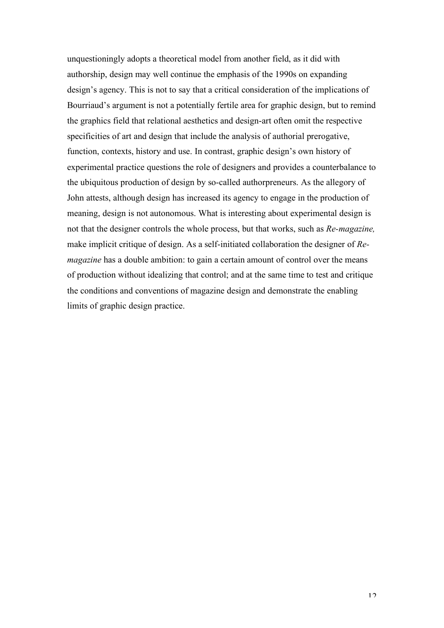unquestioningly adopts a theoretical model from another field, as it did with authorship, design may well continue the emphasis of the 1990s on expanding design's agency. This is not to say that a critical consideration of the implications of Bourriaud's argument is not a potentially fertile area for graphic design, but to remind the graphics field that relational aesthetics and design-art often omit the respective specificities of art and design that include the analysis of authorial prerogative, function, contexts, history and use. In contrast, graphic design's own history of experimental practice questions the role of designers and provides a counterbalance to the ubiquitous production of design by so-called authorpreneurs. As the allegory of John attests, although design has increased its agency to engage in the production of meaning, design is not autonomous. What is interesting about experimental design is not that the designer controls the whole process, but that works, such as *Re-magazine,* make implicit critique of design. As a self-initiated collaboration the designer of *Remagazine* has a double ambition: to gain a certain amount of control over the means of production without idealizing that control; and at the same time to test and critique the conditions and conventions of magazine design and demonstrate the enabling limits of graphic design practice.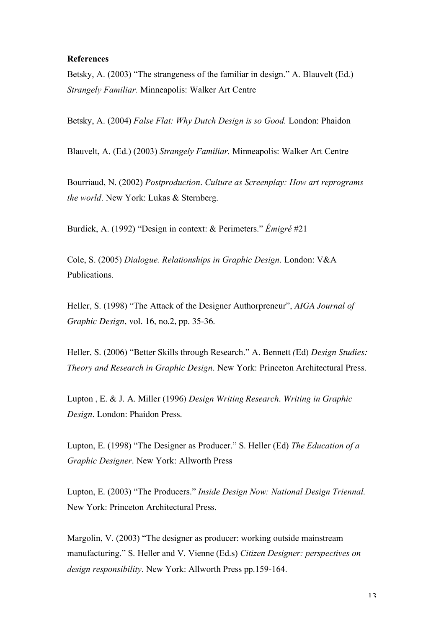#### **References**

Betsky, A. (2003) "The strangeness of the familiar in design." A. Blauvelt (Ed.) *Strangely Familiar.* Minneapolis: Walker Art Centre

Betsky, A. (2004) *False Flat: Why Dutch Design is so Good.* London: Phaidon

Blauvelt, A. (Ed.) (2003) *Strangely Familiar.* Minneapolis: Walker Art Centre

Bourriaud, N. (2002) *Postproduction*. *Culture as Screenplay: How art reprograms the world*. New York: Lukas & Sternberg.

Burdick, A. (1992) "Design in context: & Perimeters." *Émigré* #21

Cole, S. (2005) *Dialogue. Relationships in Graphic Design*. London: V&A Publications.

Heller, S. (1998) "The Attack of the Designer Authorpreneur", *AIGA Journal of Graphic Design*, vol. 16, no.2, pp. 35-36.

Heller, S. (2006) "Better Skills through Research." A. Bennett *(*Ed) *Design Studies: Theory and Research in Graphic Design.* New York: Princeton Architectural Press.

Lupton , E. & J. A. Miller (1996) *Design Writing Research*. *Writing in Graphic Design.* London: Phaidon Press.

Lupton, E. (1998) "The Designer as Producer." S. Heller (Ed) *The Education of a Graphic Designer*. New York: Allworth Press

Lupton, E. (2003) "The Producers." *Inside Design Now: National Design Triennal.* New York: Princeton Architectural Press.

Margolin, V. (2003) "The designer as producer: working outside mainstream manufacturing." S. Heller and V. Vienne (Ed.s) *Citizen Designer: perspectives on design responsibility*. New York: Allworth Press pp.159-164.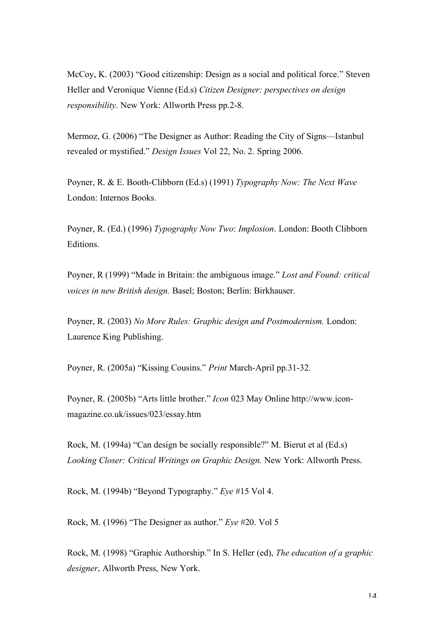McCoy, K. (2003) "Good citizenship: Design as a social and political force." Steven Heller and Veronique Vienne (Ed.s) *Citizen Designer: perspectives on design responsibility*. New York: Allworth Press pp.2-8.

Mermoz, G. (2006) "The Designer as Author: Reading the City of Signs—Istanbul revealed or mystified." *Design Issues* Vol 22, No. 2. Spring 2006.

Poyner, R. & E. Booth-Clibborn (Ed.s) (1991) *Typography Now: The Next Wave* London: Internos Books.

Poyner, R. (Ed.) (1996) *Typography Now Two*: *Implosion*. London: Booth Clibborn Editions.

Poyner, R (1999) "Made in Britain: the ambiguous image." *Lost and Found: critical voices in new British design.* Basel; Boston; Berlin: Birkhauser.

Poyner, R. (2003) *No More Rules: Graphic design and Postmodernism.* London: Laurence King Publishing.

Poyner, R. (2005a) "Kissing Cousins." *Print* March-April pp.31-32.

Poyner, R. (2005b) "Arts little brother." *Icon* 023 May Online http://www.iconmagazine.co.uk/issues/023/essay.htm

Rock, M. (1994a) "Can design be socially responsible?" M. Bierut et al (Ed.s) *Looking Closer: Critical Writings on Graphic Design.* New York: Allworth Press.

Rock, M. (1994b) "Beyond Typography." *Eye* #15 Vol 4.

Rock, M. (1996) "The Designer as author." *Eye* #20. Vol 5

Rock, M. (1998) "Graphic Authorship." In S. Heller (ed), *The education of a graphic designer*, Allworth Press, New York.